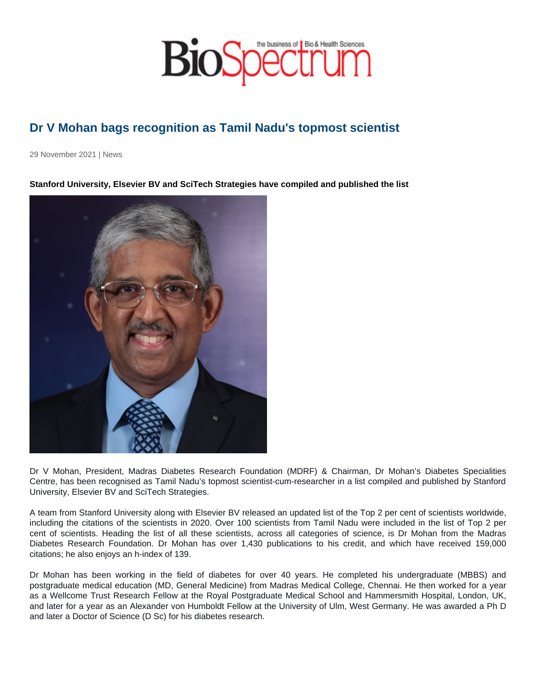## Dr V Mohan bags recognition as Tamil Nadu's topmost scientist

29 November 2021 | News

Stanford University, Elsevier BV and SciTech Strategies have compiled and published the list

Dr V Mohan, President, Madras Diabetes Research Foundation (MDRF) & Chairman, Dr Mohan's Diabetes Specialities Centre, has been recognised as Tamil Nadu's topmost scientist-cum-researcher in a list compiled and published by Stanford University, Elsevier BV and SciTech Strategies.

A team from Stanford University along with Elsevier BV released an updated list of the Top 2 per cent of scientists worldwide, including the citations of the scientists in 2020. Over 100 scientists from Tamil Nadu were included in the list of Top 2 per cent of scientists. Heading the list of all these scientists, across all categories of science, is Dr Mohan from the Madras Diabetes Research Foundation. Dr Mohan has over 1,430 publications to his credit, and which have received 159,000 citations; he also enjoys an h-index of 139.

Dr Mohan has been working in the field of diabetes for over 40 years. He completed his undergraduate (MBBS) and postgraduate medical education (MD, General Medicine) from Madras Medical College, Chennai. He then worked for a year as a Wellcome Trust Research Fellow at the Royal Postgraduate Medical School and Hammersmith Hospital, London, UK, and later for a year as an Alexander von Humboldt Fellow at the University of Ulm, West Germany. He was awarded a Ph D and later a Doctor of Science (D Sc) for his diabetes research.